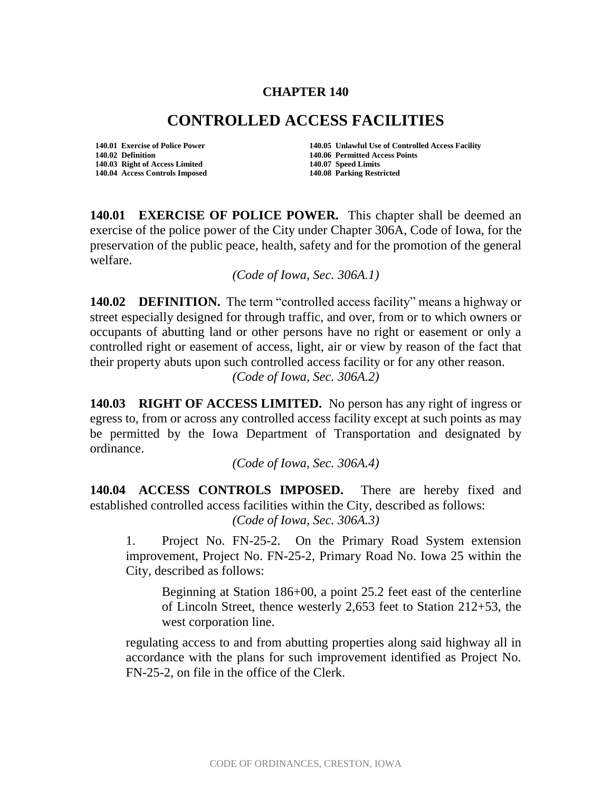## **CHAPTER 140**

## **CONTROLLED ACCESS FACILITIES**

**140.02 Definition 140.06 Permitted Access Points 140.03 Right of Access Limited 140.07 Speed Limits 140.04 Access Controls Imposed 140.08 Parking Restricted**

**140.01 Exercise of Police Power 140.05 Unlawful Use of Controlled Access Facility** 

**140.01 EXERCISE OF POLICE POWER.** This chapter shall be deemed an exercise of the police power of the City under Chapter 306A, Code of Iowa, for the preservation of the public peace, health, safety and for the promotion of the general welfare.

*(Code of Iowa, Sec. 306A.1)* 

**140.02 DEFINITION.** The term "controlled access facility" means a highway or street especially designed for through traffic, and over, from or to which owners or occupants of abutting land or other persons have no right or easement or only a controlled right or easement of access, light, air or view by reason of the fact that their property abuts upon such controlled access facility or for any other reason. *(Code of Iowa, Sec. 306A.2)* 

**140.03 RIGHT OF ACCESS LIMITED.** No person has any right of ingress or egress to, from or across any controlled access facility except at such points as may be permitted by the Iowa Department of Transportation and designated by ordinance.

*(Code of Iowa, Sec. 306A.4)* 

**140.04 ACCESS CONTROLS IMPOSED.** There are hereby fixed and established controlled access facilities within the City, described as follows:

*(Code of Iowa, Sec. 306A.3)* 

1. Project No. FN-25-2. On the Primary Road System extension improvement, Project No. FN-25-2, Primary Road No. Iowa 25 within the City, described as follows:

Beginning at Station 186+00, a point 25.2 feet east of the centerline of Lincoln Street, thence westerly 2,653 feet to Station 212+53, the west corporation line.

regulating access to and from abutting properties along said highway all in accordance with the plans for such improvement identified as Project No. FN-25-2, on file in the office of the Clerk.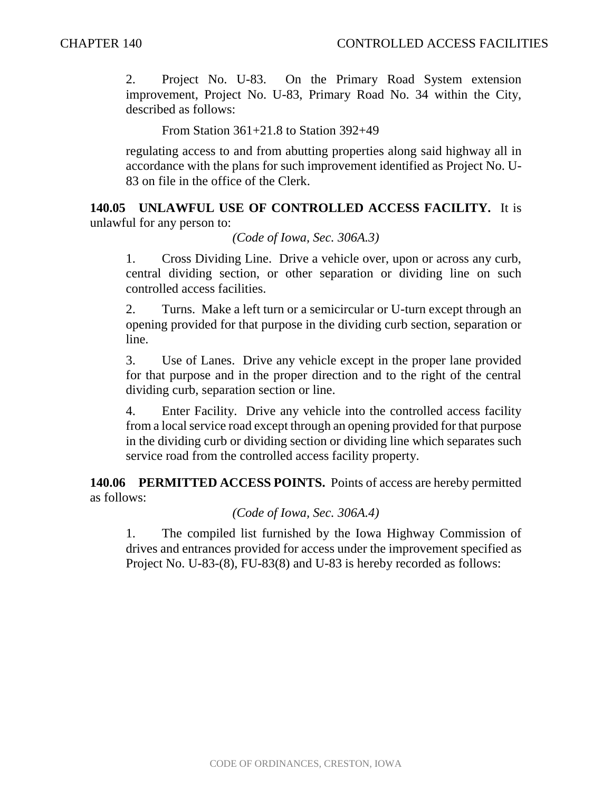2. Project No. U-83. On the Primary Road System extension improvement, Project No. U-83, Primary Road No. 34 within the City, described as follows:

From Station 361+21.8 to Station 392+49

regulating access to and from abutting properties along said highway all in accordance with the plans for such improvement identified as Project No. U-83 on file in the office of the Clerk.

**140.05 UNLAWFUL USE OF CONTROLLED ACCESS FACILITY.** It is unlawful for any person to:

*(Code of Iowa, Sec. 306A.3)* 

1. Cross Dividing Line. Drive a vehicle over, upon or across any curb, central dividing section, or other separation or dividing line on such controlled access facilities.

2. Turns. Make a left turn or a semicircular or U-turn except through an opening provided for that purpose in the dividing curb section, separation or line.

3. Use of Lanes. Drive any vehicle except in the proper lane provided for that purpose and in the proper direction and to the right of the central dividing curb, separation section or line.

4. Enter Facility. Drive any vehicle into the controlled access facility from a local service road except through an opening provided for that purpose in the dividing curb or dividing section or dividing line which separates such service road from the controlled access facility property.

**140.06 PERMITTED ACCESS POINTS.** Points of access are hereby permitted as follows:

*(Code of Iowa, Sec. 306A.4)* 

1. The compiled list furnished by the Iowa Highway Commission of drives and entrances provided for access under the improvement specified as Project No. U-83-(8), FU-83(8) and U-83 is hereby recorded as follows: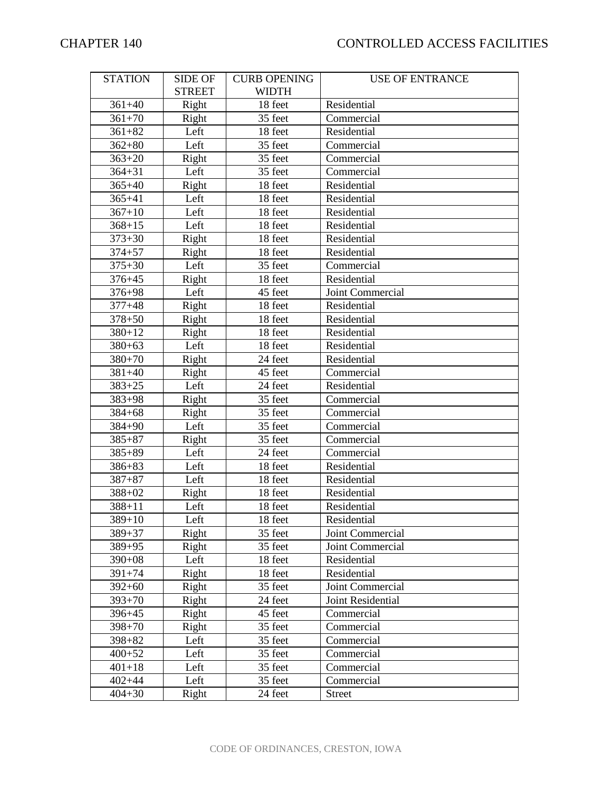| <b>STATION</b> | <b>SIDE OF</b> | <b>CURB OPENING</b> | <b>USE OF ENTRANCE</b> |
|----------------|----------------|---------------------|------------------------|
|                | <b>STREET</b>  | <b>WIDTH</b>        |                        |
| $361 + 40$     | Right          | 18 feet             | Residential            |
| $361 + 70$     | Right          | 35 feet             | Commercial             |
| $361 + 82$     | Left           | 18 feet             | Residential            |
| $362 + 80$     | Left           | 35 feet             | Commercial             |
| $363 + 20$     | Right          | 35 feet             | Commercial             |
| $364 + 31$     | Left           | 35 feet             | Commercial             |
| $365+40$       | Right          | 18 feet             | Residential            |
| $365 + 41$     | Left           | 18 feet             | Residential            |
| $367 + 10$     | Left           | 18 feet             | Residential            |
| $368 + 15$     | Left           | 18 feet             | Residential            |
| $373 + 30$     | Right          | 18 feet             | Residential            |
| $374 + 57$     | Right          | 18 feet             | Residential            |
| $375 + 30$     | Left           | 35 feet             | Commercial             |
| $376 + 45$     | Right          | 18 feet             | Residential            |
| $376 + 98$     | Left           | 45 feet             | Joint Commercial       |
| $377 + 48$     | Right          | 18 feet             | Residential            |
| $378 + 50$     | Right          | 18 feet             | Residential            |
| $380 + 12$     | Right          | 18 feet             | Residential            |
| $380 + 63$     | Left           | 18 feet             | Residential            |
| $380 + 70$     | Right          | 24 feet             | Residential            |
| $381 + 40$     | Right          | 45 feet             | Commercial             |
| $383 + 25$     | Left           | 24 feet             | Residential            |
| $383 + 98$     | Right          | 35 feet             | Commercial             |
| $384 + 68$     | Right          | 35 feet             | Commercial             |
| $384 + 90$     | Left           | 35 feet             | Commercial             |
| $385 + 87$     | Right          | 35 feet             | Commercial             |
| $385 + 89$     | Left           | 24 feet             | Commercial             |
| $386 + 83$     | Left           | 18 feet             | Residential            |
| $387 + 87$     | Left           | 18 feet             | Residential            |
| 388+02         | Right          | 18 feet             | Residential            |
| $388 + 11$     | Left           | 18 feet             | Residential            |
| $389 + 10$     | Left           | 18 feet             | Residential            |
| $389 + 37$     | Right          | 35 feet             | Joint Commercial       |
| 389+95         | Right          | 35 feet             | Joint Commercial       |
| $390 + 08$     | Left           | 18 feet             | Residential            |
| $391 + 74$     | Right          | 18 feet             | Residential            |
| $392 + 60$     | Right          | 35 feet             | Joint Commercial       |
| $393 + 70$     | Right          | 24 feet             | Joint Residential      |
| $396 + 45$     | Right          | 45 feet             | Commercial             |
| $398 + 70$     | Right          | 35 feet             | Commercial             |
| $398 + 82$     | Left           | 35 feet             | Commercial             |
| $400 + 52$     | Left           | 35 feet             | Commercial             |
| $401 + 18$     | Left           | 35 feet             | Commercial             |
| $402 + 44$     | Left           | 35 feet             | Commercial             |
| $404 + 30$     | Right          | 24 feet             | <b>Street</b>          |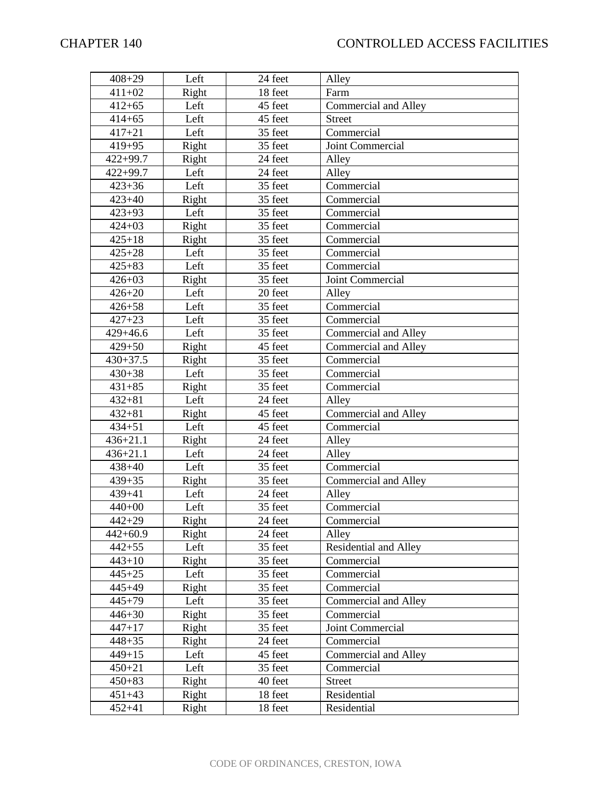| $408 + 29$   | Left  | 24 feet | Alley                        |
|--------------|-------|---------|------------------------------|
| $411 + 02$   | Right | 18 feet | Farm                         |
| $412 + 65$   | Left  | 45 feet | <b>Commercial and Alley</b>  |
| $414 + 65$   | Left  | 45 feet | <b>Street</b>                |
| $417 + 21$   | Left  | 35 feet | Commercial                   |
| $419 + 95$   | Right | 35 feet | Joint Commercial             |
| $422 + 99.7$ | Right | 24 feet | Alley                        |
| $422 + 99.7$ | Left  | 24 feet | Alley                        |
| $423 + 36$   | Left  | 35 feet | Commercial                   |
| $423 + 40$   | Right | 35 feet | Commercial                   |
| $423 + 93$   | Left  | 35 feet | Commercial                   |
| $424 + 03$   | Right | 35 feet | Commercial                   |
| $425 + 18$   | Right | 35 feet | Commercial                   |
| $425 + 28$   | Left  | 35 feet | Commercial                   |
| $425 + 83$   | Left  | 35 feet | Commercial                   |
| $426 + 03$   | Right | 35 feet | Joint Commercial             |
| $426 + 20$   | Left  | 20 feet | Alley                        |
| $426 + 58$   | Left  | 35 feet | Commercial                   |
| $427 + 23$   | Left  | 35 feet | Commercial                   |
| $429 + 46.6$ | Left  | 35 feet | <b>Commercial and Alley</b>  |
| $429 + 50$   | Right | 45 feet | Commercial and Alley         |
| $430 + 37.5$ | Right | 35 feet | Commercial                   |
| $430 + 38$   | Left  | 35 feet | Commercial                   |
| $431 + 85$   | Right | 35 feet | Commercial                   |
| $432 + 81$   | Left  | 24 feet | Alley                        |
| $432 + 81$   | Right | 45 feet | Commercial and Alley         |
| $434 + 51$   | Left  | 45 feet | Commercial                   |
| $436 + 21.1$ | Right | 24 feet | Alley                        |
| $436 + 21.1$ | Left  | 24 feet | Alley                        |
| $438 + 40$   | Left  | 35 feet | Commercial                   |
| $439 + 35$   | Right | 35 feet | Commercial and Alley         |
| $439 + 41$   | Left  | 24 feet | Alley                        |
| $440+00$     | Left  | 35 feet | Commercial                   |
| $442 + 29$   | Right | 24 feet | Commercial                   |
| 442+60.9     | Right | 24 feet | Alley                        |
| $442 + 55$   | Left  | 35 feet | <b>Residential and Alley</b> |
| $443 + 10$   | Right | 35 feet | Commercial                   |
| $445 + 25$   | Left  | 35 feet | Commercial                   |
| $445 + 49$   | Right | 35 feet | Commercial                   |
| $445 + 79$   | Left  | 35 feet | Commercial and Alley         |
| $446 + 30$   | Right | 35 feet | Commercial                   |
| $447 + 17$   | Right | 35 feet | Joint Commercial             |
| $448 + 35$   | Right | 24 feet | Commercial                   |
| $449 + 15$   | Left  | 45 feet | Commercial and Alley         |
| $450 + 21$   | Left  | 35 feet | Commercial                   |
| $450 + 83$   | Right | 40 feet | <b>Street</b>                |
| $451 + 43$   | Right | 18 feet | Residential                  |
| $452 + 41$   | Right | 18 feet | Residential                  |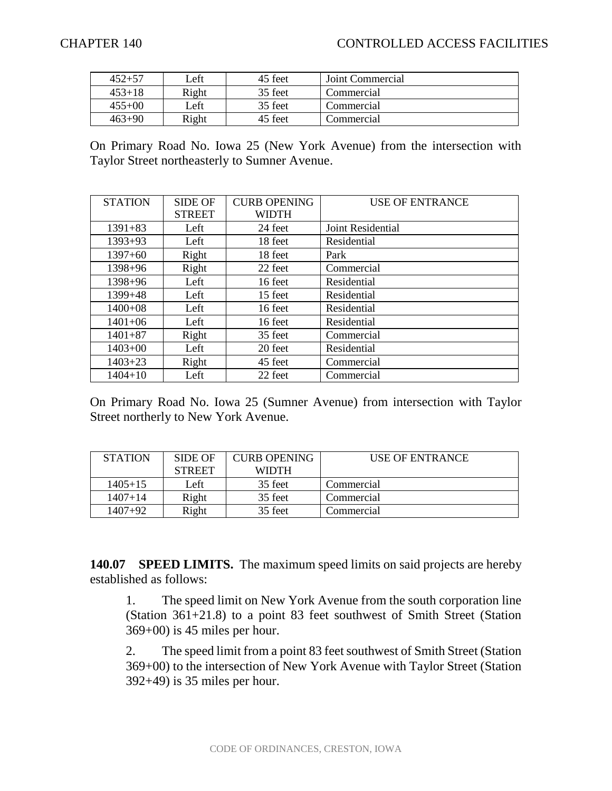| $452 + 57$ | Left  | 45 feet | Joint Commercial |
|------------|-------|---------|------------------|
| $453 + 18$ | Right | 35 feet | Commercial       |
| $455+00$   | Left  | 35 feet | Commercial       |
| $463+90$   | Right | 45 feet | Commercial       |

On Primary Road No. Iowa 25 (New York Avenue) from the intersection with Taylor Street northeasterly to Sumner Avenue.

| <b>STATION</b> | <b>SIDE OF</b> | <b>CURB OPENING</b> | <b>USE OF ENTRANCE</b> |
|----------------|----------------|---------------------|------------------------|
|                | <b>STREET</b>  | <b>WIDTH</b>        |                        |
| $1391 + 83$    | Left           | 24 feet             | Joint Residential      |
| $1393 + 93$    | Left           | 18 feet             | Residential            |
| $1397+60$      | Right          | 18 feet             | Park                   |
| $1398 + 96$    | Right          | 22 feet             | Commercial             |
| 1398+96        | Left           | 16 feet             | Residential            |
| $1399 + 48$    | Left           | 15 feet             | Residential            |
| $1400+08$      | Left           | 16 feet             | Residential            |
| $1401 + 06$    | Left           | 16 feet             | Residential            |
| $1401 + 87$    | Right          | 35 feet             | Commercial             |
| $1403+00$      | Left           | 20 feet             | Residential            |
| $1403 + 23$    | Right          | 45 feet             | Commercial             |
| $1404 + 10$    | Left           | 22 feet             | Commercial             |

On Primary Road No. Iowa 25 (Sumner Avenue) from intersection with Taylor Street northerly to New York Avenue.

| <b>STATION</b> | SIDE OF       | <b>CURB OPENING</b> | USE OF ENTRANCE |
|----------------|---------------|---------------------|-----------------|
|                | <b>STREET</b> | <b>WIDTH</b>        |                 |
| $1405 + 15$    | Left          | 35 feet             | Commercial      |
| $1407 + 14$    | Right         | 35 feet             | Commercial      |
| $1407+92$      | Right         | 35 feet             | Commercial      |

**140.07 SPEED LIMITS.** The maximum speed limits on said projects are hereby established as follows:

1. The speed limit on New York Avenue from the south corporation line (Station 361+21.8) to a point 83 feet southwest of Smith Street (Station 369+00) is 45 miles per hour.

2. The speed limit from a point 83 feet southwest of Smith Street (Station 369+00) to the intersection of New York Avenue with Taylor Street (Station 392+49) is 35 miles per hour.